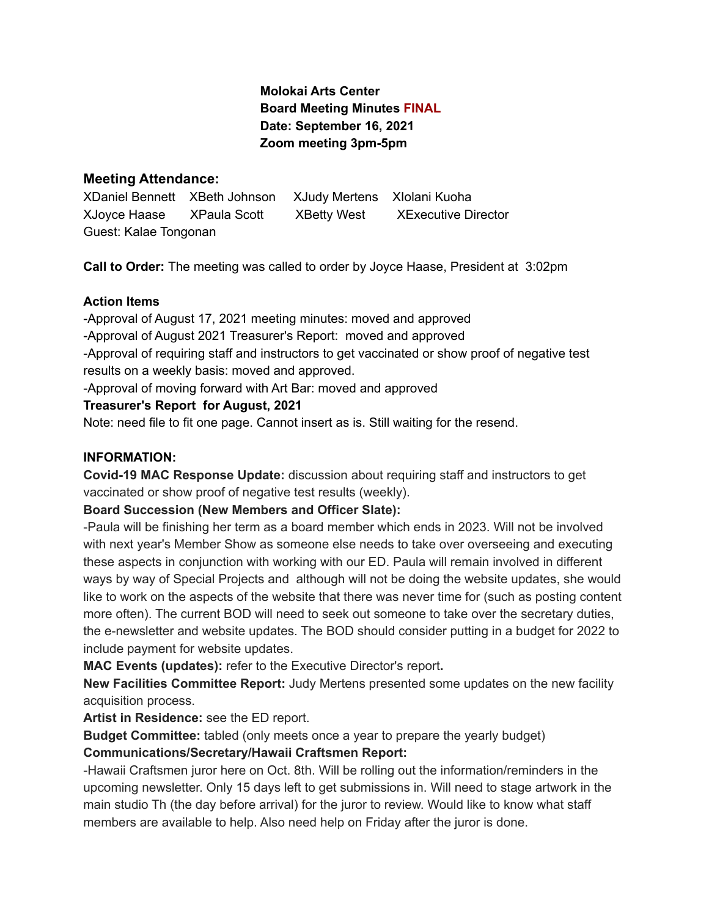# **Molokai Arts Center Board Meeting Minutes FINAL Date: September 16, 2021 Zoom meeting 3pm-5pm**

## **Meeting Attendance:**

XDaniel Bennett XBeth Johnson XJudy Mertens XIolani Kuoha XJoyce Haase XPaula Scott XBetty West XExecutive Director Guest: Kalae Tongonan

**Call to Order:** The meeting was called to order by Joyce Haase, President at 3:02pm

# **Action Items**

-Approval of August 17, 2021 meeting minutes: moved and approved -Approval of August 2021 Treasurer's Report: moved and approved -Approval of requiring staff and instructors to get vaccinated or show proof of negative test results on a weekly basis: moved and approved. -Approval of moving forward with Art Bar: moved and approved

# **Treasurer's Report for August, 2021**

Note: need file to fit one page. Cannot insert as is. Still waiting for the resend.

## **INFORMATION:**

**Covid-19 MAC Response Update:** discussion about requiring staff and instructors to get vaccinated or show proof of negative test results (weekly).

## **Board Succession (New Members and Officer Slate):**

-Paula will be finishing her term as a board member which ends in 2023. Will not be involved with next year's Member Show as someone else needs to take over overseeing and executing these aspects in conjunction with working with our ED. Paula will remain involved in different ways by way of Special Projects and although will not be doing the website updates, she would like to work on the aspects of the website that there was never time for (such as posting content more often). The current BOD will need to seek out someone to take over the secretary duties, the e-newsletter and website updates. The BOD should consider putting in a budget for 2022 to include payment for website updates.

**MAC Events (updates):** refer to the Executive Director's report**.**

**New Facilities Committee Report:** Judy Mertens presented some updates on the new facility acquisition process.

**Artist in Residence:** see the ED report.

**Budget Committee:** tabled (only meets once a year to prepare the yearly budget)

# **Communications/Secretary/Hawaii Craftsmen Report:**

-Hawaii Craftsmen juror here on Oct. 8th. Will be rolling out the information/reminders in the upcoming newsletter. Only 15 days left to get submissions in. Will need to stage artwork in the main studio Th (the day before arrival) for the juror to review. Would like to know what staff members are available to help. Also need help on Friday after the juror is done.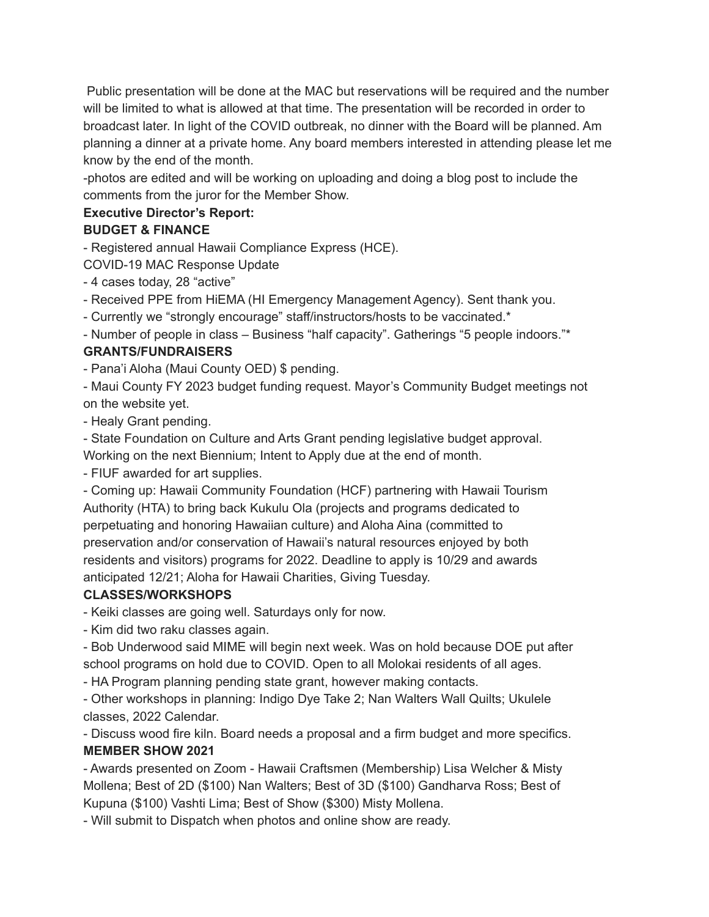Public presentation will be done at the MAC but reservations will be required and the number will be limited to what is allowed at that time. The presentation will be recorded in order to broadcast later. In light of the COVID outbreak, no dinner with the Board will be planned. Am planning a dinner at a private home. Any board members interested in attending please let me know by the end of the month.

-photos are edited and will be working on uploading and doing a blog post to include the comments from the juror for the Member Show.

# **Executive Director's Report:**

# **BUDGET & FINANCE**

- Registered annual Hawaii Compliance Express (HCE).

COVID-19 MAC Response Update

- 4 cases today, 28 "active"

- Received PPE from HiEMA (HI Emergency Management Agency). Sent thank you.

- Currently we "strongly encourage" staff/instructors/hosts to be vaccinated.\*

- Number of people in class – Business "half capacity". Gatherings "5 people indoors."\*

# **GRANTS/FUNDRAISERS**

- Pana'i Aloha (Maui County OED) \$ pending.

- Maui County FY 2023 budget funding request. Mayor's Community Budget meetings not on the website yet.

- Healy Grant pending.

- State Foundation on Culture and Arts Grant pending legislative budget approval.

Working on the next Biennium; Intent to Apply due at the end of month.

- FIUF awarded for art supplies.

- Coming up: Hawaii Community Foundation (HCF) partnering with Hawaii Tourism Authority (HTA) to bring back Kukulu Ola (projects and programs dedicated to perpetuating and honoring Hawaiian culture) and Aloha Aina (committed to preservation and/or conservation of Hawaii's natural resources enjoyed by both residents and visitors) programs for 2022. Deadline to apply is 10/29 and awards anticipated 12/21; Aloha for Hawaii Charities, Giving Tuesday.

# **CLASSES/WORKSHOPS**

- Keiki classes are going well. Saturdays only for now.

- Kim did two raku classes again.

- Bob Underwood said MIME will begin next week. Was on hold because DOE put after school programs on hold due to COVID. Open to all Molokai residents of all ages.

- HA Program planning pending state grant, however making contacts.

- Other workshops in planning: Indigo Dye Take 2; Nan Walters Wall Quilts; Ukulele classes, 2022 Calendar.

- Discuss wood fire kiln. Board needs a proposal and a firm budget and more specifics. **MEMBER SHOW 2021**

- Awards presented on Zoom - Hawaii Craftsmen (Membership) Lisa Welcher & Misty Mollena; Best of 2D (\$100) Nan Walters; Best of 3D (\$100) Gandharva Ross; Best of Kupuna (\$100) Vashti Lima; Best of Show (\$300) Misty Mollena.

- Will submit to Dispatch when photos and online show are ready.